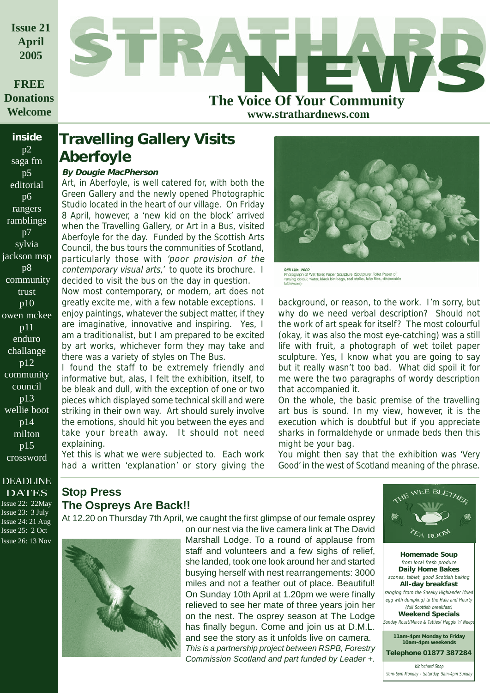**Issue 21 April 2005**

### **FREE Donations Welcome**

**inside**  $p2$ saga fm p5 editorial p6 rangers ramblings p7 sylvia jackson msp p8 community trust p10 owen mckee p11 enduro challange p12 community council p13 wellie boot p14 milton p15 crossword



**www.strathardnews.com**

### **Travelling Gallery Visits Aberfoyle**

### **By Dougie MacPherson**

Art, in Aberfoyle, is well catered for, with both the Green Gallery and the newly opened Photographic Studio located in the heart of our village. On Friday 8 April, however, a 'new kid on the block' arrived when the Travelling Gallery, or Art in a Bus, visited Aberfoyle for the day. Funded by the Scottish Arts Council, the bus tours the communities of Scotland, particularly those with 'poor provision of the contemporary visual arts,' to quote its brochure. I decided to visit the bus on the day in question.

Now most contemporary, or modern, art does not greatly excite me, with a few notable exceptions. I enjoy paintings, whatever the subject matter, if they are imaginative, innovative and inspiring. Yes, I am a traditionalist, but I am prepared to be excited by art works, whichever form they may take and there was a variety of styles on The Bus.

I found the staff to be extremely friendly and informative but, alas, I felt the exhibition, itself, to be bleak and dull, with the exception of one or two pieces which displayed some technical skill and were striking in their own way. Art should surely involve the emotions, should hit you between the eyes and take your breath away. It should not need explaining.

Yet this is what we were subjected to. Each work had a written 'explanation' or story giving the



Still Life, 2002<br>Photograph of Wet Toilet Paper Sculpture (Sculpture: Toilet Paper of<br>varying colour, water, black bin-bags, real stalks, fake flies, disposab<br>tableware)

background, or reason, to the work. I'm sorry, but why do we need verbal description? Should not the work of art speak for itself? The most colourful (okay, it was also the most eye-catching) was a still life with fruit, a photograph of wet toilet paper sculpture. Yes, I know what you are going to say but it really wasn't too bad. What did spoil it for me were the two paragraphs of wordy description that accompanied it.

On the whole, the basic premise of the travelling art bus is sound. In my view, however, it is the execution which is doubtful but if you appreciate sharks in formaldehyde or unmade beds then this might be your bag.

You might then say that the exhibition was 'Very Good' in the west of Scotland meaning of the phrase.

### DEADLINE **DATES**

Issue 22: 22May Issue 23: 3 July Issue 24: 21 Aug Issue 25: 2 Oct Issue 26: 13 Nov

### **Stop Press The Ospreys Are Back!!**

At 12.20 on Thursday 7th April, we caught the first glimpse of our female osprey



on our nest via the live camera link at The David Marshall Lodge. To a round of applause from staff and volunteers and a few sighs of relief, she landed, took one look around her and started busying herself with nest rearrangements: 3000 miles and not a feather out of place. Beautiful! On Sunday 10th April at 1.20pm we were finally relieved to see her mate of three years join her on the nest. The osprey season at The Lodge has finally begun. Come and join us at D.M.L. and see the story as it unfolds live on camera. *This is a partnership project between RSPB, Forestry Commission Scotland and part funded by Leader +.*



**Homemade Soup** from local fresh produce **Daily Home Bakes** scones, tablet, good Scottish baking **All-day breakfast** ranging from the Sneaky Highlander (fried egg with dumpling) to the Hale and Hearty (full Scottish breakfast) **Weekend Specials unday Roast/Mince & Tatties/ Haggis 'n' Neep** Kinlochard Shop **Telephone 01877 387284 11am-4pm Monday to Friday 10am-4pm weekends**

9am-6pm Monday – Saturday, 9am-4pm Sunday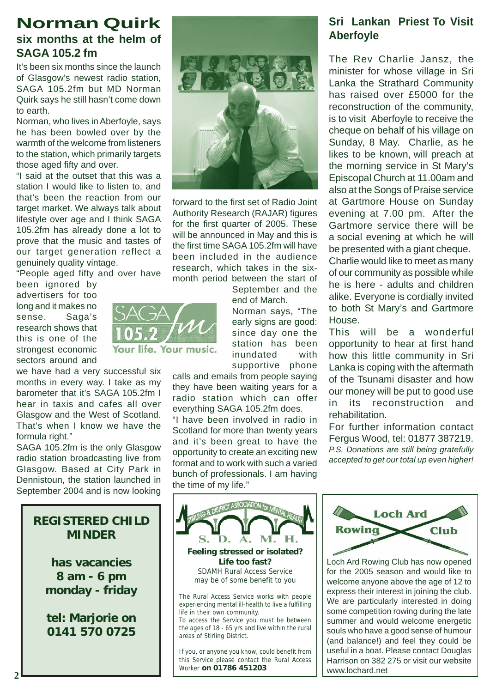### **Norman Quirk six months at the helm of**

### **SAGA 105.2 fm**

It's been six months since the launch of Glasgow's newest radio station, SAGA 105.2fm but MD Norman Quirk says he still hasn't come down to earth.

Norman, who lives in Aberfoyle, says he has been bowled over by the warmth of the welcome from listeners to the station, which primarily targets those aged fifty and over.

"I said at the outset that this was a station I would like to listen to, and that's been the reaction from our target market. We always talk about lifestyle over age and I think SAGA 105.2fm has already done a lot to prove that the music and tastes of our target generation reflect a genuinely quality vintage.

"People aged fifty and over have

been ignored by advertisers for too long and it makes no sense. Saga's research shows that this is one of the strongest economic sectors around and

we have had a very successful six months in every way. I take as my barometer that it's SAGA 105.2fm I hear in taxis and cafes all over Glasgow and the West of Scotland. That's when I know we have the formula right."

SAGA 105.2fm is the only Glasgow radio station broadcasting live from Glasgow. Based at City Park in Dennistoun, the station launched in September 2004 and is now looking

### **REGISTERED CHILD MINDER**

**has vacancies 8 am - 6 pm monday - friday**

**tel: Marjorie on 0141 570 0725**



forward to the first set of Radio Joint Authority Research (RAJAR) figures for the first quarter of 2005. These will be announced in May and this is the first time SAGA 105.2fm will have been included in the audience research, which takes in the sixmonth period between the start of

> September and the end of March.

Norman says, "The early signs are good: since day one the station has been inundated with supportive phone

calls and emails from people saying they have been waiting years for a radio station which can offer everything SAGA 105.2fm does.

"I have been involved in radio in Scotland for more than twenty years and it's been great to have the opportunity to create an exciting new format and to work with such a varied bunch of professionals. I am having the time of my life."

### **Sri Lankan Priest To Visit Aberfoyle**

The Rev Charlie Jansz, the minister for whose village in Sri Lanka the Strathard Community has raised over £5000 for the reconstruction of the community, is to visit Aberfoyle to receive the cheque on behalf of his village on Sunday, 8 May. Charlie, as he likes to be known, will preach at the morning service in St Mary's Episcopal Church at 11.00am and also at the Songs of Praise service at Gartmore House on Sunday evening at 7.00 pm. After the Gartmore service there will be a social evening at which he will be presented with a giant cheque. Charlie would like to meet as many of our community as possible while he is here - adults and children alike. Everyone is cordially invited to both St Mary's and Gartmore House.

This will be a wonderful opportunity to hear at first hand how this little community in Sri Lanka is coping with the aftermath of the Tsunami disaster and how our money will be put to good use in its reconstruction and rehabilitation.

For further information contact Fergus Wood, tel: 01877 387219. *P.S. Donations are still being gratefully accepted to get our total up even higher!*



**Feeling stressed or isolated? Life too fast?** SDAMH Rural Access Service may be of some benefit to you

The Rural Access Service works with people experiencing mental ill-health to live a fulfilling life in their own community.

To access the Service you must be between the ages of 18 - 65 yrs and live within the rural areas of Stirling District.

If you, or anyone you know, could benefit from this Service please contact the Rural Access Worker **on 01786 451203**



Loch Ard Rowing Club has now opened for the 2005 season and would like to welcome anyone above the age of 12 to express their interest in joining the club. We are particularly interested in doing some competition rowing during the late summer and would welcome energetic souls who have a good sense of humour (and balance!) and feel they could be useful in a boat. Please contact Douglas Harrison on 382 275 or visit our website www.lochard.net

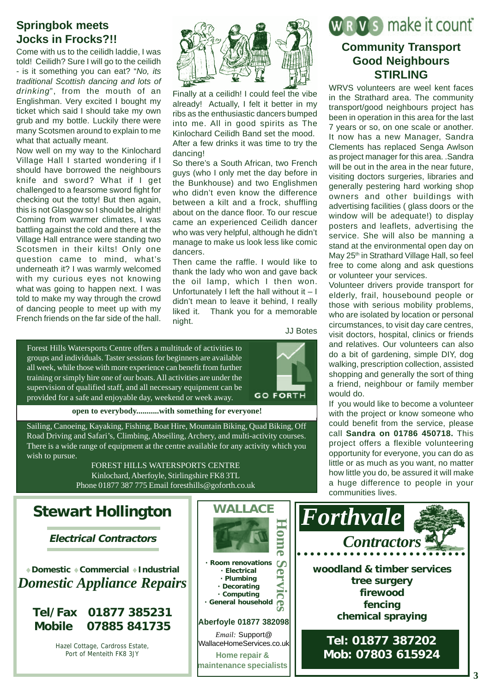### **Springbok meets Jocks in Frocks?!!**

Come with us to the ceilidh laddie, I was told! Ceilidh? Sure I will go to the ceilidh - is it something you can eat? "*No, its traditional Scottish dancing and lots of drinking*", from the mouth of an Englishman. Very excited I bought my ticket which said I should take my own grub and my bottle. Luckily there were many Scotsmen around to explain to me what that actually meant.

Now well on my way to the Kinlochard Village Hall I started wondering if I should have borrowed the neighbours knife and sword? What if I get challenged to a fearsome sword fight for checking out the totty! But then again, this is not Glasgow so I should be alright! Coming from warmer climates, I was battling against the cold and there at the Village Hall entrance were standing two Scotsmen in their kilts! Only one question came to mind, what's underneath it? I was warmly welcomed with my curious eyes not knowing what was going to happen next. I was told to make my way through the crowd of dancing people to meet up with my French friends on the far side of the hall.



Finally at a ceilidh! I could feel the vibe already! Actually, I felt it better in my ribs as the enthusiastic dancers bumped into me. All in good spirits as The Kinlochard Ceilidh Band set the mood. After a few drinks it was time to try the dancing!

So there's a South African, two French guys (who I only met the day before in the Bunkhouse) and two Englishmen who didn't even know the difference between a kilt and a frock, shuffling about on the dance floor. To our rescue came an experienced Ceilidh dancer who was very helpful, although he didn't manage to make us look less like comic dancers.

Then came the raffle. I would like to thank the lady who won and gave back the oil lamp, which I then won. Unfortunately I left the hall without it  $-1$ didn't mean to leave it behind, I really liked it. Thank you for a memorable night.

JJ Botes

Forest Hills Watersports Centre offers a multitude of activities to groups and individuals. Taster sessions for beginners are available all week, while those with more experience can benefit from further training or simply hire one of our boats. All activities are under the supervision of qualified staff, and all necessary equipment can be provided for a safe and enjoyable day, weekend or week away.



### **open to everybody...........with something for everyone!**

Sailing, Canoeing, Kayaking, Fishing, Boat Hire, Mountain Biking, Quad Biking, Off Road Driving and Safari's, Climbing, Abseiling, Archery, and multi-activity courses. There is a wide range of equipment at the centre available for any activity which you wish to pursue.

> FOREST HILLS WATERSPORTS CENTRE Kinlochard, Aberfoyle, Stirlingshire FK8 3TL Phone 01877 387 775 Email foresthills@goforth.co.uk

**Electrical Contractors**

♦**Domestic** ♦**Commercial** ♦**Industrial** *Domestic Appliance Repairs*

**Tel/Fax 01877 385231 Mobile 07885 841735**

> Hazel Cottage, Cardross Estate, Port of Menteith FK8 3JY



# W R V s make it count

### **Community Transport Good Neighbours STIRLING**

WRVS volunteers are weel kent faces in the Strathard area. The community transport/good neighbours project has been in operation in this area for the last 7 years or so, on one scale or another. It now has a new Manager, Sandra Clements has replaced Senga Awlson as project manager for this area. .Sandra will be out in the area in the near future, visiting doctors surgeries, libraries and generally pestering hard working shop owners and other buildings with advertising facilities ( glass doors or the window will be adequate!) to display posters and leaflets, advertising the service. She will also be manning a stand at the environmental open day on May 25<sup>th</sup> in Strathard Village Hall, so feel free to come along and ask questions or volunteer your services.

Volunteer drivers provide transport for elderly, frail, housebound people or those with serious mobility problems, who are isolated by location or personal circumstances, to visit day care centres, visit doctors, hospital, clinics or friends and relatives. Our volunteers can also do a bit of gardening, simple DIY, dog walking, prescription collection, assisted shopping and generally the sort of thing a friend, neighbour or family member would do.

If you would like to become a volunteer with the project or know someone who could benefit from the service, please call **Sandra on 01786 450718.** This project offers a flexible volunteering opportunity for everyone, you can do as little or as much as you want, no matter how little you do, be assured it will make a huge difference to people in your communities lives.

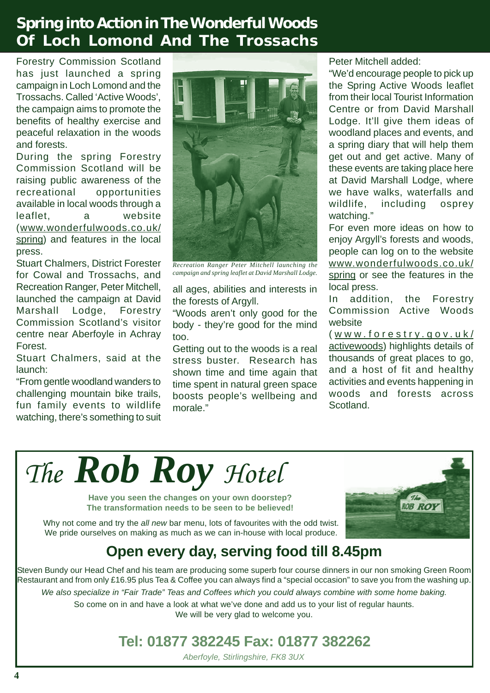# **Spring into Action in The Wonderful Woods Of Loch Lomond And The Trossachs**

Forestry Commission Scotland has just launched a spring campaign in Loch Lomond and the Trossachs. Called 'Active Woods', the campaign aims to promote the benefits of healthy exercise and peaceful relaxation in the woods and forests.

During the spring Forestry Commission Scotland will be raising public awareness of the recreational opportunities available in local woods through a leaflet, a website (www.wonderfulwoods.co.uk/ spring) and features in the local press.

Stuart Chalmers, District Forester for Cowal and Trossachs, and Recreation Ranger, Peter Mitchell, launched the campaign at David Marshall Lodge, Forestry Commission Scotland's visitor centre near Aberfoyle in Achray Forest.

Stuart Chalmers, said at the launch:

"From gentle woodland wanders to challenging mountain bike trails, fun family events to wildlife watching, there's something to suit



*Recreation Ranger Peter Mitchell launching the campaign and spring leaflet at David Marshall Lodge.*

all ages, abilities and interests in the forests of Argyll.

"Woods aren't only good for the body - they're good for the mind too.

Getting out to the woods is a real stress buster. Research has shown time and time again that time spent in natural green space boosts people's wellbeing and morale."

Peter Mitchell added:

"We'd encourage people to pick up the Spring Active Woods leaflet from their local Tourist Information Centre or from David Marshall Lodge. It'll give them ideas of woodland places and events, and a spring diary that will help them get out and get active. Many of these events are taking place here at David Marshall Lodge, where we have walks, waterfalls and wildlife, including osprey watching."

For even more ideas on how to enjoy Argyll's forests and woods, people can log on to the website www.wonderfulwoods.co.uk/ spring or see the features in the local press.

In addition, the Forestry Commission Active Woods website

( www .forestry .gov .uk/ activewoods) highlights details of thousands of great places to go, and a host of fit and healthy activities and events happening in woods and forests across Scotland.

*The Rob Roy Hotel*

**Have you seen the changes on your own doorstep? The transformation needs to be seen to be believed!**

Why not come and try the *all new* bar menu, lots of favourites with the odd twist. We pride ourselves on making as much as we can in-house with local produce.



# **Open every day, serving food till 8.45pm**

Steven Bundy our Head Chef and his team are producing some superb four course dinners in our non smoking Green Room Restaurant and from only £16.95 plus Tea & Coffee you can always find a "special occasion" to save you from the washing up. *We also specialize in "Fair Trade" Teas and Coffees which you could always combine with some home baking.* So come on in and have a look at what we've done and add us to your list of regular haunts. We will be very glad to welcome you.

# **Tel: 01877 382245 Fax: 01877 382262**

*Aberfoyle, Stirlingshire, FK8 3UX*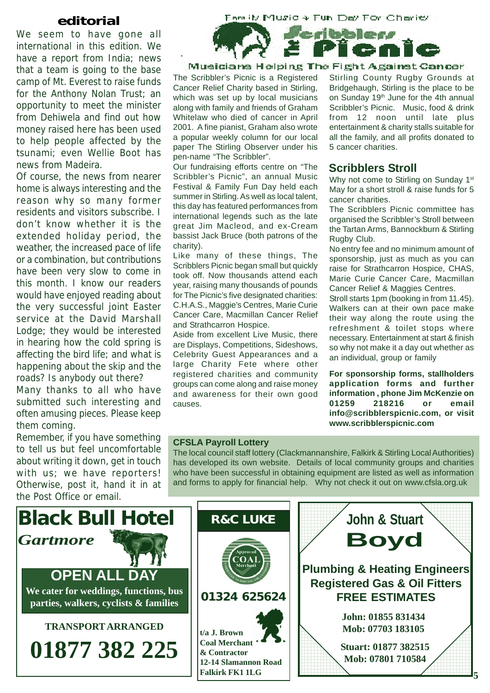### **editorial**

We seem to have gone all international in this edition. We have a report from India; news that a team is going to the base camp of Mt. Everest to raise funds for the Anthony Nolan Trust; an opportunity to meet the minister from Dehiwela and find out how money raised here has been used to help people affected by the tsunami; even Wellie Boot has news from Madeira.

Of course, the news from nearer home is always interesting and the reason why so many former residents and visitors subscribe. I don't know whether it is the extended holiday period, the weather, the increased pace of life or a combination, but contributions have been very slow to come in this month. I know our readers would have enjoyed reading about the very successful joint Easter service at the David Marshall Lodge; they would be interested in hearing how the cold spring is affecting the bird life; and what is happening about the skip and the roads? Is anybody out there?

Many thanks to all who have submitted such interesting and often amusing pieces. Please keep them coming.

Remember, if you have something to tell us but feel uncomfortable about writing it down, get in touch with us; we have reporters! Otherwise, post it, hand it in at the Post Office or email.



Musicians Helping The Fight Against Cancer

The Scribbler's Picnic is a Registered Cancer Relief Charity based in Stirling, which was set up by local musicians along with family and friends of Graham Whitelaw who died of cancer in April 2001. A fine pianist, Graham also wrote a popular weekly column for our local paper The Stirling Observer under his pen-name "The Scribbler".

Our fundraising efforts centre on "The Scribbler's Picnic", an annual Music Festival & Family Fun Day held each summer in Stirling. As well as local talent, this day has featured performances from international legends such as the late great Jim Macleod, and ex-Cream bassist Jack Bruce (both patrons of the charity).

Like many of these things, The Scribblers Picnic began small but quickly took off. Now thousands attend each year, raising many thousands of pounds for The Picnic's five designated charities: C.H.A.S., Maggie's Centres, Marie Curie Cancer Care, Macmillan Cancer Relief and Strathcarron Hospice.

Aside from excellent Live Music, there are Displays, Competitions, Sideshows, Celebrity Guest Appearances and a large Charity Fete where other registered charities and community groups can come along and raise money and awareness for their own good causes.

Stirling County Rugby Grounds at Bridgehaugh, Stirling is the place to be on Sunday 19<sup>th</sup> June for the 4th annual Scribbler's Picnic. Music, food & drink from 12 noon until late plus entertainment & charity stalls suitable for all the family, and all profits donated to 5 cancer charities.

### **Scribblers Stroll**

Why not come to Stirling on Sunday 1<sup>st</sup> May for a short stroll & raise funds for 5 cancer charities.

The Scribblers Picnic committee has organised the Scribbler's Stroll between the Tartan Arms, Bannockburn & Stirling Rugby Club.

No entry fee and no minimum amount of sponsorship, just as much as you can raise for Strathcarron Hospice, CHAS, Marie Curie Cancer Care, Macmillan Cancer Relief & Maggies Centres.

Stroll starts 1pm (booking in from 11.45). Walkers can at their own pace make their way along the route using the refreshment & toilet stops where necessary. Entertainment at start & finish so why not make it a day out whether as an individual, group or family

**For sponsorship forms, stallholders application forms and further information , phone Jim McKenzie on 01259 218216 or email info@scribblerspicnic.com, or visit www.scribblerspicnic.com**

### **CFSLA Payroll Lottery**

The local council staff lottery (Clackmannanshire, Falkirk & Stirling Local Authorities) has developed its own website. Details of local community groups and charities who have been successful in obtaining equipment are listed as well as information and forms to apply for financial help. Why not check it out on www.cfsla.org.uk

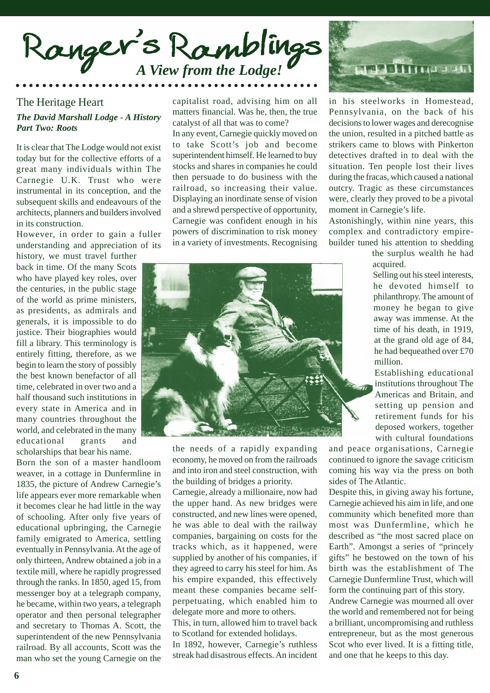

### The Heritage Heart *The David Marshall Lodge - A History Part Two: Roots*

It is clear that The Lodge would not exist today but for the collective efforts of a great many individuals within The Carnegie U.K. Trust who were instrumental in its conception, and the subsequent skills and endeavours of the architects, planners and builders involved in its construction.

However, in order to gain a fuller understanding and appreciation of its

history, we must travel further back in time. Of the many Scots who have played key roles, over the centuries, in the public stage of the world as prime ministers, as presidents, as admirals and generals, it is impossible to do justice. Their biographies would fill a library. This terminology is entirely fitting, therefore, as we begin to learn the story of possibly the best known benefactor of all time, celebrated in over two and a half thousand such institutions in every state in America and in many countries throughout the world, and celebrated in the many educational grants and scholarships that bear his name.

Born the son of a master handloom weaver, in a cottage in Dunfermline in 1835, the picture of Andrew Carnegie's life appears ever more remarkable when it becomes clear he had little in the way of schooling. After only five years of educational upbringing, the Carnegie family emigrated to America, settling eventually in Pennsylvania. At the age of only thirteen, Andrew obtained a job in a textile mill, where he rapidly progressed through the ranks. In 1850, aged 15, from messenger boy at a telegraph company, he became, within two years, a telegraph operator and then personal telegrapher and secretary to Thomas A. Scott, the superintendent of the new Pennsylvania railroad. By all accounts, Scott was the man who set the young Carnegie on the

capitalist road, advising him on all matters financial. Was he, then, the true catalyst of all that was to come?

In any event, Carnegie quickly moved on to take Scott's job and become superintendent himself. He learned to buy stocks and shares in companies he could then persuade to do business with the railroad, so increasing their value. Displaying an inordinate sense of vision and a shrewd perspective of opportunity, Carnegie was confident enough in his powers of discrimination to risk money in a variety of investments. Recognising



the needs of a rapidly expanding economy, he moved on from the railroads and into iron and steel construction, with the building of bridges a priority.

Carnegie, already a millionaire, now had the upper hand. As new bridges were constructed, and new lines were opened, he was able to deal with the railway companies, bargaining on costs for the tracks which, as it happened, were supplied by another of his companies, if they agreed to carry his steel for him. As his empire expanded, this effectively meant these companies became selfperpetuating, which enabled him to delegate more and more to others. This, in turn, allowed him to travel back to Scotland for extended holidays. In 1892, however, Carnegie's ruthless

streak had disastrous effects. An incident



in his steelworks in Homestead, Pennsylvania, on the back of his decisions to lower wages and derecognise the union, resulted in a pitched battle as strikers came to blows with Pinkerton detectives drafted in to deal with the situation. Ten people lost their lives during the fracas, which caused a national outcry. Tragic as these circumstances were, clearly they proved to be a pivotal moment in Carnegie's life.

Astonishingly, within nine years, this complex and contradictory empirebuilder tuned his attention to shedding

> the surplus wealth he had acquired.

> Selling out his steel interests, he devoted himself to philanthropy. The amount of money he began to give away was immense. At the time of his death, in 1919, at the grand old age of 84, he had bequeathed over £70 million.

Establishing educational institutions throughout The Americas and Britain, and setting up pension and retirement funds for his deposed workers, together with cultural foundations

and peace organisations, Carnegie continued to ignore the savage criticism coming his way via the press on both sides of The Atlantic.

Despite this, in giving away his fortune, Carnegie achieved his aim in life, and one community which benefited more than most was Dunfermline, which he described as "the most sacred place on Earth". Amongst a series of "princely gifts" he bestowed on the town of his birth was the establishment of The Carnegie Dunfermline Trust, which will form the continuing part of this story. Andrew Carnegie was mourned all over the world and remembered not for being a brilliant, uncompromising and ruthless entrepreneur, but as the most generous Scot who ever lived. It is a fitting title, and one that he keeps to this day.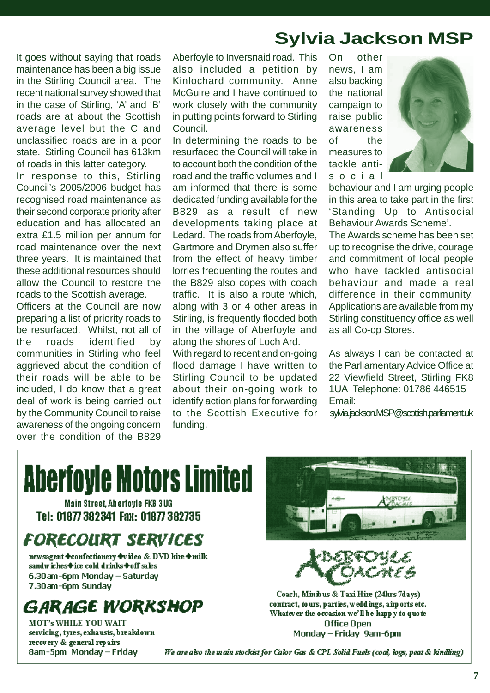# **Sylvia Jackson MSP**

It goes without saying that roads maintenance has been a big issue in the Stirling Council area. The recent national survey showed that in the case of Stirling, 'A' and 'B' roads are at about the Scottish average level but the C and unclassified roads are in a poor state. Stirling Council has 613km of roads in this latter category.

In response to this, Stirling Council's 2005/2006 budget has recognised road maintenance as their second corporate priority after education and has allocated an extra £1.5 million per annum for road maintenance over the next three years. It is maintained that these additional resources should allow the Council to restore the roads to the Scottish average.

Officers at the Council are now preparing a list of priority roads to be resurfaced. Whilst, not all of the roads identified by communities in Stirling who feel aggrieved about the condition of their roads will be able to be included, I do know that a great deal of work is being carried out by the Community Council to raise awareness of the ongoing concern over the condition of the B829

Aberfoyle to Inversnaid road. This also included a petition by Kinlochard community. Anne McGuire and I have continued to work closely with the community in putting points forward to Stirling Council.

In determining the roads to be resurfaced the Council will take in to account both the condition of the road and the traffic volumes and I am informed that there is some dedicated funding available for the B829 as a result of new developments taking place at Ledard. The roads from Aberfoyle, Gartmore and Drymen also suffer from the effect of heavy timber lorries frequenting the routes and the B829 also copes with coach traffic. It is also a route which, along with 3 or 4 other areas in Stirling, is frequently flooded both in the village of Aberfoyle and along the shores of Loch Ard.

With regard to recent and on-going flood damage I have written to Stirling Council to be updated about their on-going work to identify action plans for forwarding to the Scottish Executive for funding.

On other news, I am also backing the national campaign to raise public awareness of the measures to tackle antisocial



behaviour and I am urging people in this area to take part in the first 'Standing Up to Antisocial Behaviour Awards Scheme'.

The Awards scheme has been set up to recognise the drive, courage and commitment of local people who have tackled antisocial behaviour and made a real difference in their community. Applications are available from my Stirling constituency office as well as all Co-op Stores.

As always I can be contacted at the Parliamentary Advice Office at 22 Viewfield Street, Stirling FK8 1UA Telephone: 01786 446515 Email:

sylvia.jackson.MSP@scottish.parliament.uk

# **Aberfoyle Motors Limited**

Main Street. Aberfoyle FK8 3UG Tel: 01877 382341 Fax: 01877 382735

# **FORECOURT SERVICES**

newsagent Confectionery Ivideo & DVD hire Omilk sandwiches+ice cold drinks+off sales 6.30am-6pm Monday - Saturday 7.30am-6pm Sunday

### **GARAGE WORKSHOP**

**MOT's WHILE YOU WAIT** servicing, tyres, exhausts, breakdown recovery & general repairs 8am-5pm Monday - Friday



Coach, Minibus & Taxi Hire (24hrs 7days) contract, to urs, parties, weddings, airports etc. Whatever the occasion we'll be happy to quote Office Open Monday - Friday 9am-6pm

We are also the main stockist for Calor Gas & CPL Solid Fuels (coal, logs, peat & kindling)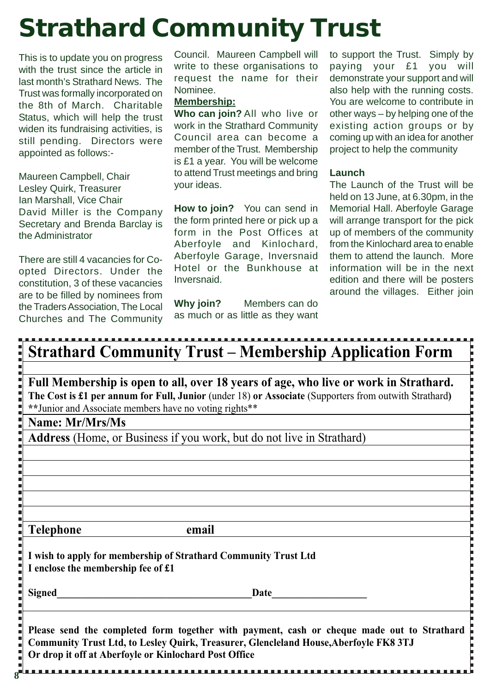# **Strathard Community Trust**

This is to update you on progress with the trust since the article in last month's Strathard News. The Trust was formally incorporated on the 8th of March. Charitable Status, which will help the trust widen its fundraising activities, is still pending. Directors were appointed as follows:-

Maureen Campbell, Chair Lesley Quirk, Treasurer Ian Marshall, Vice Chair David Miller is the Company Secretary and Brenda Barclay is the Administrator

There are still 4 vacancies for Coopted Directors. Under the constitution, 3 of these vacancies are to be filled by nominees from the Traders Association, The Local Churches and The Community

**8**

Council. Maureen Campbell will write to these organisations to request the name for their Nominee.

### **Membership:**

**Who can join?** All who live or work in the Strathard Community Council area can become a member of the Trust. Membership is £1 a year. You will be welcome to attend Trust meetings and bring your ideas.

**How to join?** You can send in the form printed here or pick up a form in the Post Offices at Aberfoyle and Kinlochard, Aberfoyle Garage, Inversnaid Hotel or the Bunkhouse at Inversnaid.

**Why join?** Members can do as much or as little as they want to support the Trust. Simply by paying your £1 you will demonstrate your support and will also help with the running costs. You are welcome to contribute in other ways – by helping one of the existing action groups or by coming up with an idea for another project to help the community

### **Launch**

The Launch of the Trust will be held on 13 June, at 6,30pm, in the Memorial Hall. Aberfoyle Garage will arrange transport for the pick up of members of the community from the Kinlochard area to enable them to attend the launch. More information will be in the next edition and there will be posters around the villages. Either join

| <b>Strathard Community Trust – Membership Application Form</b>                                                                                                                                                                                           |
|----------------------------------------------------------------------------------------------------------------------------------------------------------------------------------------------------------------------------------------------------------|
|                                                                                                                                                                                                                                                          |
| Full Membership is open to all, over 18 years of age, who live or work in Strathard.<br>The Cost is £1 per annum for Full, Junior (under 18) or Associate (Supporters from outwith Strathard)<br>** Junior and Associate members have no voting rights** |
| Name: Mr/Mrs/Ms                                                                                                                                                                                                                                          |
| Address (Home, or Business if you work, but do not live in Strathard)                                                                                                                                                                                    |
|                                                                                                                                                                                                                                                          |
|                                                                                                                                                                                                                                                          |
|                                                                                                                                                                                                                                                          |
|                                                                                                                                                                                                                                                          |
|                                                                                                                                                                                                                                                          |
| <b>Telephone</b><br>email                                                                                                                                                                                                                                |
| I wish to apply for membership of Strathard Community Trust Ltd<br>I enclose the membership fee of £1                                                                                                                                                    |
| <b>Signed</b><br>Date                                                                                                                                                                                                                                    |
| Please send the completed form together with payment, cash or cheque made out to Strathard<br>Community Trust Ltd, to Lesley Quirk, Treasurer, Glencleland House, Aberfoyle FK8 3TJ<br>Or drop it off at Aberfoyle or Kinlochard Post Office             |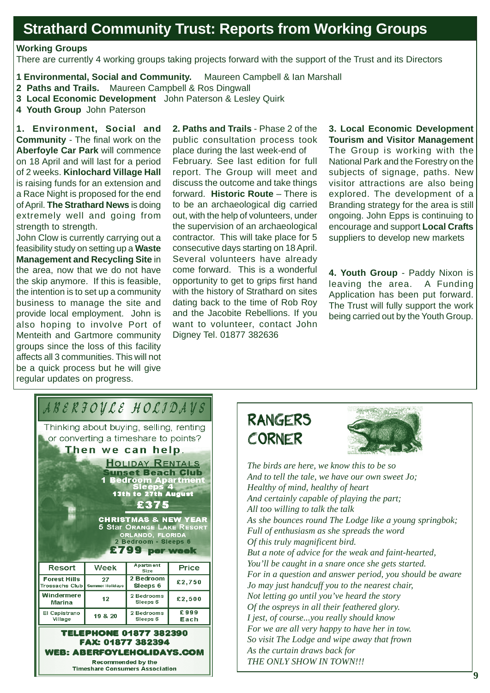# **Strathard Community Trust: Reports from Working Groups**

### **Working Groups**

There are currently 4 working groups taking projects forward with the support of the Trust and its Directors

- **1 Environmental, Social and Community.** Maureen Campbell & Ian Marshall
- **2 Paths and Trails.** Maureen Campbell & Ros Dingwall
- **3 Local Economic Development** John Paterson & Lesley Quirk
- **4 Youth Group** John Paterson

**1. Environment, Social and Community** - The final work on the **Aberfoyle Car Park** will commence on 18 April and will last for a period of 2 weeks. **Kinlochard Village Hall** is raising funds for an extension and a Race Night is proposed for the end of April. **The Strathard News** is doing extremely well and going from strength to strength.

John Clow is currently carrying out a feasibility study on setting up a **Waste Management and Recycling Site** in the area, now that we do not have the skip anymore. If this is feasible, the intention is to set up a community business to manage the site and provide local employment. John is also hoping to involve Port of Menteith and Gartmore community groups since the loss of this facility affects all 3 communities. This will not be a quick process but he will give regular updates on progress.

February. See last edition for full report. The Group will meet and discuss the outcome and take things forward. **Historic Route** – There is to be an archaeological dig carried out, with the help of volunteers, under the supervision of an archaeological contractor. This will take place for 5 consecutive days starting on 18 April. Several volunteers have already come forward. This is a wonderful opportunity to get to grips first hand with the history of Strathard on sites dating back to the time of Rob Roy and the Jacobite Rebellions. If you want to volunteer, contact John Digney Tel. 01877 382636 **2. Paths and Trails** - Phase 2 of the public consultation process took place during the last week-end of

**3. Local Economic Development Tourism and Visitor Management** The Group is working with the National Park and the Forestry on the subjects of signage, paths. New visitor attractions are also being explored. The development of a Branding strategy for the area is still ongoing. John Epps is continuing to encourage and support **Local Crafts** suppliers to develop new markets

**4. Youth Group** - Paddy Nixon is leaving the area. A Funding Application has been put forward. The Trust will fully support the work being carried out by the Youth Group.

| ABERFOVLE HOLIDAVS                                                                                                                                                                                                                                                                                                                                                            |                              |                          |              |  |  |  |  |  |  |
|-------------------------------------------------------------------------------------------------------------------------------------------------------------------------------------------------------------------------------------------------------------------------------------------------------------------------------------------------------------------------------|------------------------------|--------------------------|--------------|--|--|--|--|--|--|
| Thinking about buying, selling, renting<br>or converting a timeshare to points?<br>Then we can help.<br><b>HOLIDAY RENTALS</b><br><b>Sunset Beach Club</b><br><b>Bedroom Apartment<br/>Sleeps 4</b><br><b>13th to 27th August</b><br>£375<br><b>CHRISTMAS &amp; NEW YEAR</b><br><b>5 Star ORANGE LAKE RESORT</b><br>ORLANDO, FLORIDA<br>2 Bedroom - Sleeps 6<br>£799 per week |                              |                          |              |  |  |  |  |  |  |
| Resort                                                                                                                                                                                                                                                                                                                                                                        | Week                         | <b>Apartment</b><br>Size | <b>Price</b> |  |  |  |  |  |  |
| <b>Forest Hills</b><br>Trossachs Club                                                                                                                                                                                                                                                                                                                                         | 27<br><b>Summer Holidays</b> | 2 Bedroom<br>Sleeps 6    | £2,750       |  |  |  |  |  |  |
|                                                                                                                                                                                                                                                                                                                                                                               |                              |                          | £2,500       |  |  |  |  |  |  |
| Windermere<br><b>Marina</b>                                                                                                                                                                                                                                                                                                                                                   | 12                           | 2 Bedrooms<br>Sleeps 6   |              |  |  |  |  |  |  |
| El Capistrano<br>Village                                                                                                                                                                                                                                                                                                                                                      | 19 & 20                      | 2 Bedrooms<br>Sleeps 6   | £999<br>Each |  |  |  |  |  |  |

**Timeshare Consumers Association** 

# **RANGERS CORNER**



*The birds are here, we know this to be so And to tell the tale, we have our own sweet Jo; Healthy of mind, healthy of heart And certainly capable of playing the part; All too willing to talk the talk As she bounces round The Lodge like a young springbok; Full of enthusiasm as she spreads the word Of this truly magnificent bird. But a note of advice for the weak and faint-hearted, You'll be caught in a snare once she gets started. For in a question and answer period, you should be aware Jo may just handcuff you to the nearest chair, Not letting go until you've heard the story Of the ospreys in all their feathered glory. I jest, of course...you really should know For we are all very happy to have her in tow. So visit The Lodge and wipe away that frown As the curtain draws back for THE ONLY SHOW IN TOWN!!!*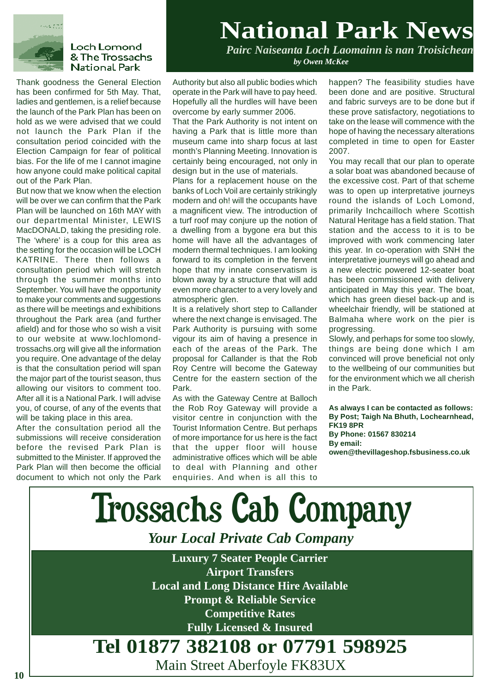

### **Loch Lomond** & The Trossachs **National Park**

Thank goodness the General Election has been confirmed for 5th May. That, ladies and gentlemen, is a relief because the launch of the Park Plan has been on hold as we were advised that we could not launch the Park Plan if the consultation period coincided with the Election Campaign for fear of political bias. For the life of me I cannot imagine how anyone could make political capital out of the Park Plan.

But now that we know when the election will be over we can confirm that the Park Plan will be launched on 16th MAY with our departmental Minister, LEWIS MacDONALD, taking the presiding role. The 'where' is a coup for this area as the setting for the occasion will be LOCH KATRINE. There then follows a consultation period which will stretch through the summer months into September. You will have the opportunity to make your comments and suggestions as there will be meetings and exhibitions throughout the Park area (and further afield) and for those who so wish a visit to our website at www.lochlomondtrossachs.org will give all the information you require. One advantage of the delay is that the consultation period will span the major part of the tourist season, thus allowing our visitors to comment too. After all it is a National Park. I will advise you, of course, of any of the events that will be taking place in this area.

After the consultation period all the submissions will receive consideration before the revised Park Plan is submitted to the Minister. If approved the Park Plan will then become the official document to which not only the Park

# **National Park News**

*Pairc Naiseanta Loch Laomainn is nan Troisichean by Owen McKee*

Authority but also all public bodies which operate in the Park will have to pay heed. Hopefully all the hurdles will have been overcome by early summer 2006.

That the Park Authority is not intent on having a Park that is little more than museum came into sharp focus at last month's Planning Meeting. Innovation is certainly being encouraged, not only in design but in the use of materials.

Plans for a replacement house on the banks of Loch Voil are certainly strikingly modern and oh! will the occupants have a magnificent view. The introduction of a turf roof may conjure up the notion of a dwelling from a bygone era but this home will have all the advantages of modern thermal techniques. I am looking forward to its completion in the fervent hope that my innate conservatism is blown away by a structure that will add even more character to a very lovely and atmospheric glen.

It is a relatively short step to Callander where the next change is envisaged. The Park Authority is pursuing with some vigour its aim of having a presence in each of the areas of the Park. The proposal for Callander is that the Rob Roy Centre will become the Gateway Centre for the eastern section of the Park.

As with the Gateway Centre at Balloch the Rob Roy Gateway will provide a visitor centre in conjunction with the Tourist Information Centre. But perhaps of more importance for us here is the fact that the upper floor will house administrative offices which will be able to deal with Planning and other enquiries. And when is all this to

happen? The feasibility studies have been done and are positive. Structural and fabric surveys are to be done but if these prove satisfactory, negotiations to take on the lease will commence with the hope of having the necessary alterations completed in time to open for Easter 2007.

You may recall that our plan to operate a solar boat was abandoned because of the excessive cost. Part of that scheme was to open up interpretative journeys round the islands of Loch Lomond, primarily Inchcailloch where Scottish Natural Heritage has a field station. That station and the access to it is to be improved with work commencing later this year. In co-operation with SNH the interpretative journeys will go ahead and a new electric powered 12-seater boat has been commissioned with delivery anticipated in May this year. The boat, which has green diesel back-up and is wheelchair friendly, will be stationed at Balmaha where work on the pier is progressing.

Slowly, and perhaps for some too slowly, things are being done which I am convinced will prove beneficial not only to the wellbeing of our communities but for the environment which we all cherish in the Park.

**As always I can be contacted as follows: By Post; Taigh Na Bhuth, Lochearnhead, FK19 8PR By Phone: 01567 830214 By email: owen@thevillageshop.fsbusiness.co.uk**

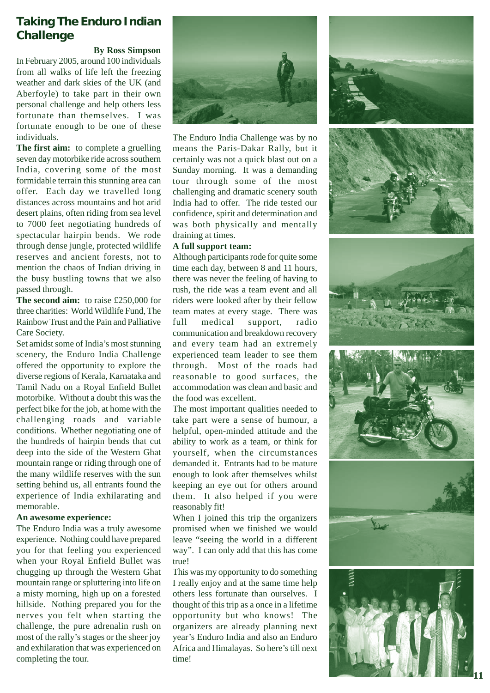### **Taking The Enduro Indian Challenge**

**By Ross Simpson**

In February 2005, around 100 individuals from all walks of life left the freezing weather and dark skies of the UK (and Aberfoyle) to take part in their own personal challenge and help others less fortunate than themselves. I was fortunate enough to be one of these individuals.

**The first aim:** to complete a gruelling seven day motorbike ride across southern India, covering some of the most formidable terrain this stunning area can offer. Each day we travelled long distances across mountains and hot arid desert plains, often riding from sea level to 7000 feet negotiating hundreds of spectacular hairpin bends. We rode through dense jungle, protected wildlife reserves and ancient forests, not to mention the chaos of Indian driving in the busy bustling towns that we also passed through.

**The second aim:** to raise £250,000 for three charities: World Wildlife Fund, The Rainbow Trust and the Pain and Palliative Care Society.

Set amidst some of India's most stunning scenery, the Enduro India Challenge offered the opportunity to explore the diverse regions of Kerala, Karnataka and Tamil Nadu on a Royal Enfield Bullet motorbike. Without a doubt this was the perfect bike for the job, at home with the challenging roads and variable conditions. Whether negotiating one of the hundreds of hairpin bends that cut deep into the side of the Western Ghat mountain range or riding through one of the many wildlife reserves with the sun setting behind us, all entrants found the experience of India exhilarating and memorable.

### **An awesome experience:**

The Enduro India was a truly awesome experience. Nothing could have prepared you for that feeling you experienced when your Royal Enfield Bullet was chugging up through the Western Ghat mountain range or spluttering into life on a misty morning, high up on a forested hillside. Nothing prepared you for the nerves you felt when starting the challenge, the pure adrenalin rush on most of the rally's stages or the sheer joy and exhilaration that was experienced on completing the tour.



The Enduro India Challenge was by no means the Paris-Dakar Rally, but it certainly was not a quick blast out on a Sunday morning. It was a demanding tour through some of the most challenging and dramatic scenery south India had to offer. The ride tested our confidence, spirit and determination and was both physically and mentally draining at times.

### **A full support team:**

Although participants rode for quite some time each day, between 8 and 11 hours, there was never the feeling of having to rush, the ride was a team event and all riders were looked after by their fellow team mates at every stage. There was full medical support, radio communication and breakdown recovery and every team had an extremely experienced team leader to see them through. Most of the roads had reasonable to good surfaces, the accommodation was clean and basic and the food was excellent.

The most important qualities needed to take part were a sense of humour, a helpful, open-minded attitude and the ability to work as a team, or think for yourself, when the circumstances demanded it. Entrants had to be mature enough to look after themselves whilst keeping an eye out for others around them. It also helped if you were reasonably fit!

When I joined this trip the organizers promised when we finished we would leave "seeing the world in a different way". I can only add that this has come true!

This was my opportunity to do something I really enjoy and at the same time help others less fortunate than ourselves. I thought of this trip as a once in a lifetime opportunity but who knows! The organizers are already planning next year's Enduro India and also an Enduro Africa and Himalayas. So here's till next time!

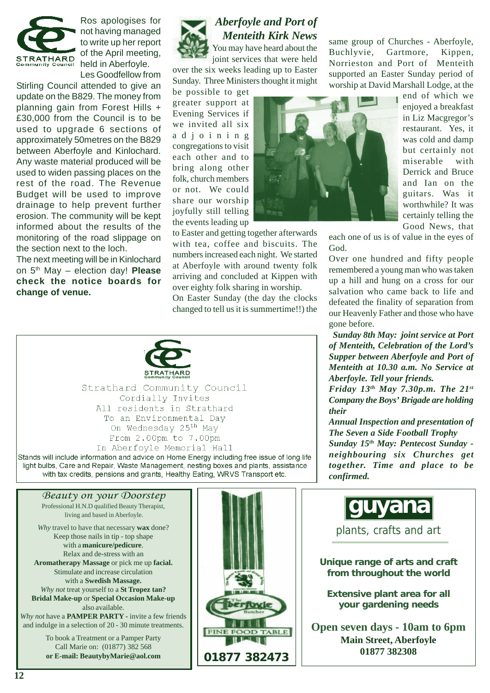

Ros apologises for not having managed to write up her report of the April meeting, STRATHARD ULLIE APTILLITE CHI Les Goodfellow from

Stirling Council attended to give an update on the B829. The money from planning gain from Forest Hills + £30,000 from the Council is to be used to upgrade 6 sections of approximately 50metres on the B829 between Aberfoyle and Kinlochard. Any waste material produced will be used to widen passing places on the rest of the road. The Revenue Budget will be used to improve drainage to help prevent further erosion. The community will be kept informed about the results of the monitoring of the road slippage on the section next to the loch.

The next meeting will be in Kinlochard on 5th May – election day! **Please check the notice boards for change of venue.**



### *Aberfoyle and Port of Menteith Kirk News* You may have heard about the

joint services that were held over the six weeks leading up to Easter Sunday. Three Ministers thought it might

be possible to get greater support at Evening Services if we invited all six adjoining congregations to visit each other and to bring along other folk, church members or not. We could share our worship joyfully still telling the events leading up



numbers increased each night. We started at Aberfoyle with around twenty folk arriving and concluded at Kippen with over eighty folk sharing in worship.

On Easter Sunday (the day the clocks changed to tell us it is summertime!!) the



Strathard Community Council Cordially Invites All residents in Strathard To an Environmental Day On Wednesday 25<sup>th</sup> May From 2.00pm to 7.00pm In Aberfoyle Memorial Hall

Stands will include information and advice on Home Energy including free issue of long life light bulbs, Care and Repair, Waste Management, nesting boxes and plants, assistance with tax credits, pensions and grants, Healthy Eating, WRVS Transport etc.

same group of Churches - Aberfoyle, Buchlyvie, Gartmore, Kippen, Norrieston and Port of Menteith supported an Easter Sunday period of worship at David Marshall Lodge, at the

end of which we enjoyed a breakfast in Liz Macgregor's restaurant. Yes, it was cold and damp but certainly not miserable with Derrick and Bruce and Ian on the guitars. Was it worthwhile? It was certainly telling the Good News, that

each one of us is of value in the eyes of

Over one hundred and fifty people remembered a young man who was taken up a hill and hung on a cross for our salvation who came back to life and defeated the finality of separation from our Heavenly Father and those who have gone before.

 *Sunday 8th May: joint service at Port of Menteith, Celebration of the Lord's Supper between Aberfoyle and Port of Menteith at 10.30 a.m. No Service at Aberfoyle. Tell your friends.*

*Friday 13th May 7.30p.m. The 21st Company the Boys' Brigade are holding their*

*Annual Inspection and presentation of The Seven a Side Football Trophy*

*Sunday 15th May: Pentecost Sunday neighbouring six Churches get together. Time and place to be confirmed.*

### *Beauty on your Doorstep*

Professional H.N.D qualified Beauty Therapist, living and based in Aberfoyle.

*Why* travel to have that necessary **wax** done? Keep those nails in tip - top shape with a **manicure/pedicure**. Relax and de-stress with an **Aromatherapy Massage** or pick me up **facial.** Stimulate and increase circulation with a **Swedish Massage.** *Why not* treat yourself to a **St Tropez tan? Bridal Make-up** or **Special Occasion Make-up** also available.

*Why not* have a **PAMPER PARTY -** invite a few friends and indulge in a selection of 20 - 30 minute treatments.

> To book a Treatment or a Pamper Party Call Marie on: (01877) 382 568 **or E-mail: BeautybyMarie@aol.com**



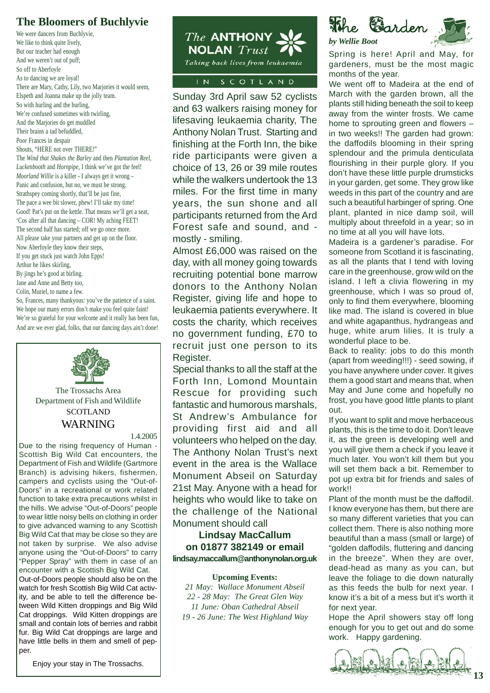### **The Bloomers of Buchlyvie**

We were dancers from Buchlyvie, We like to think quite lively, But our teacher had enough And we weren't out of puff; So off to Aberfoyle As to dancing we are loyal! There are Mary, Cathy, Lily, two Marjories it would seem, Elspeth and Joanna make up the jolly team. So with hurling and the burling, We're confused sometimes with twirling, And the Marjories do get muddled Their brains a tad befuddled, Poor Frances in despair Shouts, "HERE not over THERE!" The *Wind that Shakes the Barley* and then *Plantation Reel, Luckenbooth* and *Hornpipe,* I think we've got the feel! *Moorland Willie* is a killer - I always get it wrong – Panic and confusion, but no, we must be strong. Strathspey coming shortly, that'll be just fine, The pace a wee bit slower, phew! I'll take my time! Good! Pat's put on the kettle. That means we'll get a seat, 'Cos after all that dancing – COR! My aching FEET! The second half has started; off we go once more. All please take your partners and get up on the floor. Now Aberfoyle they know their steps, If you get stuck just watch John Epps! Arthur he likes skirling, By jings he's good at birling.

Jane and Anne and Betty too,

Colin, Muriel, to name a few.

So, Frances, many thankyous: you've the patience of a saint. We hope our many errors don't make you feel quite faint! We're so grateful for your welcome and it really has been fun, And are we ever glad, folks, that our dancing days ain't done!



Department of Fish and Wildlife **SCOTLAND** WARNING

1.4.2005

Due to the rising frequency of Human - Scottish Big Wild Cat encounters, the Department of Fish and Wildlife (Gartmore Branch) is advising hikers, fishermen, campers and cyclists using the "Out-of-Doors" in a recreational or work related function to take extra precautions whilst in the hills. We advise "Out-of-Doors" people to wear little noisy bells on clothing in order to give advanced warning to any Scottish Big Wild Cat that may be close so they are not taken by surprise. We also advise anyone using the "Out-of-Doors" to carry "Pepper Spray" with them in case of an encounter with a Scottish Big Wild Cat. Out-of-Doors people should also be on the watch for fresh Scottish Big Wild Cat activity, and be able to tell the difference between Wild Kitten droppings and Big Wild Cat droppings. Wild Kitten droppings are small and contain lots of berries and rabbit fur. Big Wild Cat droppings are large and have little bells in them and smell of pepper.



Sunday 3rd April saw 52 cyclists and 63 walkers raising money for lifesaving leukaemia charity, The Anthony Nolan Trust. Starting and finishing at the Forth Inn, the bike ride participants were given a choice of 13, 26 or 39 mile routes while the walkers undertook the 13 miles. For the first time in many years, the sun shone and all participants returned from the Ard Forest safe and sound, and mostly - smiling.

Almost £6,000 was raised on the day, with all money going towards recruiting potential bone marrow donors to the Anthony Nolan Register, giving life and hope to leukaemia patients everywhere. It costs the charity, which receives no government funding, £70 to recruit just one person to its Register.

Special thanks to all the staff at the Forth Inn, Lomond Mountain Rescue for providing such fantastic and humorous marshals, St Andrew's Ambulance for providing first aid and all volunteers who helped on the day. The Anthony Nolan Trust's next event in the area is the Wallace Monument Abseil on Saturday 21st May. Anyone with a head for heights who would like to take on the challenge of the National Monument should call

### **Lindsay MacCallum on 01877 382149 or email lindsay.maccallum@anthonynolan.org.uk**

### **Upcoming Events:**

*21 May: Wallace Monument Abseil 22 - 28 May: The Great Glen Way 11 June: Oban Cathedral Abseil 19 - 26 June: The West Highland Way*

The **G**arden *by Wellie Boot*

Spring is here! April and May, for gardeners, must be the most magic months of the year.

We went off to Madeira at the end of March with the garden brown, all the plants still hiding beneath the soil to keep away from the winter frosts. We came home to sprouting green and flowers – in two weeks!! The garden had grown: the daffodils blooming in their spring splendour and the primula denticulata flourishing in their purple glory. If you don't have these little purple drumsticks in your garden, get some. They grow like weeds in this part of the country and are such a beautiful harbinger of spring. One plant, planted in nice damp soil, will multiply about threefold in a year; so in no time at all you will have lots.

Madeira is a gardener's paradise. For someone from Scotland it is fascinating, as all the plants that I tend with loving care in the greenhouse, grow wild on the island. I left a clivia flowering in my greenhouse, which I was so proud of, only to find them everywhere, blooming like mad. The island is covered in blue and white agapanthus, hydrangeas and huge, white arum lilies. It is truly a wonderful place to be.

Back to reality: jobs to do this month (apart from weeding!!!) - seed sowing, if you have anywhere under cover. It gives them a good start and means that, when May and June come and hopefully no frost, you have good little plants to plant out.

If you want to split and move herbaceous plants, this is the time to do it. Don't leave it, as the green is developing well and you will give them a check if you leave it much later. You won't kill them but you will set them back a bit. Remember to pot up extra bit for friends and sales of work!!

Plant of the month must be the daffodil. I know everyone has them, but there are so many different varieties that you can collect them. There is also nothing more beautiful than a mass (small or large) of "golden daffodils, fluttering and dancing in the breeze". When they are over, dead-head as many as you can, but leave the foliage to die down naturally as this feeds the bulb for next year. I know it's a bit of a mess but it's worth it for next year.

Hope the April showers stay off long enough for you to get out and do some work. Happy gardening.



Enjoy your stay in The Trossachs.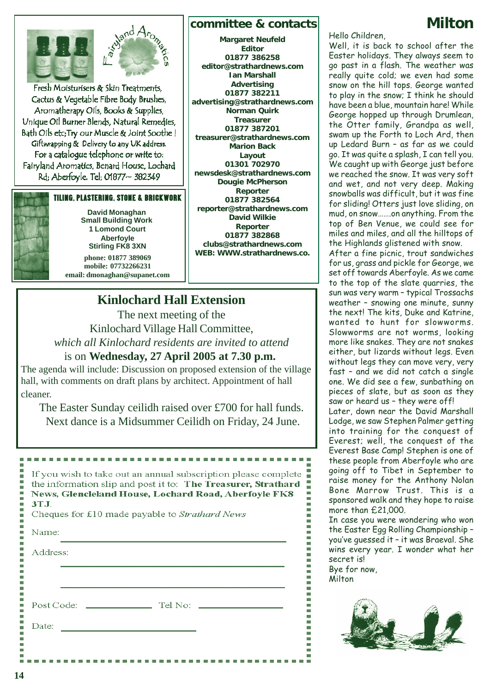

Fresh Moisturisers & Skin Treatments, Cactus & Vegetable Fibre Body Brushes, Aromatherapy Oils, Books & Supplies, Unique Oil Burner Blends, Natural Remedies, Bath Oils etc; Try our Muscle & Joint Soothe! Giftwrapping & Delivery to any UK address. For a catalogue telephone or write to: Fairyland Aromatics, Benard House, Lochard Rd; Aberfoyle. Tel; 01877~ 382349

### TILING, PLASTERING, STONE & BRICKWORK



**David Monaghan Small Building Work 1 Lomond Court Aberfoyle Stirling FK8 3XN phone: 01877 389069**

**mobile: 07732266231 email: dmonaghan@supanet.com**

### **editor@strathardnews.com Ian Marshall Advertising 01877 382211 advertising@strathardnews.com Norman Quirk Treasurer 01877 387201 treasurer@strathardnews.com Marion Back Layout 01301 702970 newsdesk@strathardnews.com Dougie McPherson Reporter 01877 382564 reporter@strathardnews.com David Wilkie Reporter 01877 382868 clubs@strathardnews.com WEB: WWW.strathardnews.co.**

**committee & contacts Margaret Neufeld Editor 01877 386258**

### **Kinlochard Hall Extension**

The next meeting of the Kinlochard Village Hall Committee, *which all Kinlochard residents are invited to attend*

### is on **Wednesday, 27 April 2005 at 7.30 p.m.**

The agenda will include: Discussion on proposed extension of the village hall, with comments on draft plans by architect. Appointment of hall cleaner.

The Easter Sunday ceilidh raised over £700 for hall funds. Next dance is a Midsummer Ceilidh on Friday, 24 June.

If you wish to take out an annual subscription please complete the information slip and post it to: The Treasurer, Strathard **News, Glencleland House, Lochard Road, Aberfoyle FK8 3T.L** Cheques for £10 made payable to Strathard News

---------------

| Address:<br>Date: | Name: |  |
|-------------------|-------|--|
|                   |       |  |
|                   |       |  |
|                   |       |  |
|                   |       |  |
|                   |       |  |
|                   |       |  |

### Hello Children,

Well, it is back to school after the Easter holidays. They always seem to go past in a flash. The weather was really quite cold; we even had some snow on the hill tops. George wanted to play in the snow; I think he should have been a blue, mountain hare! While George hopped up through Drumlean, the Otter family, Grandpa as well, swam up the Forth to Loch Ard, then up Ledard Burn – as far as we could go. It was quite a splash, I can tell you. We caught up with George just before we reached the snow. It was very soft and wet, and not very deep. Making snowballs was difficult, but it was fine for sliding! Otters just love sliding, on mud, on snow…….on anything. From the top of Ben Venue, we could see for miles and miles, and all the hilltops of the Highlands glistened with snow. After a fine picnic, trout sandwiches for us, grass and pickle for George, we set off towards Aberfoyle. As we came to the top of the slate quarries, the sun was very warm – typical Trossachs weather – snowing one minute, sunny the next! The kits, Duke and Katrine, wanted to hunt for slowworms. Slowworms are not worms, looking

more like snakes. They are not snakes either, but lizards without legs. Even without legs they can move very, very fast – and we did not catch a single one. We did see a few, sunbathing on pieces of slate, but as soon as they saw or heard us – they were off!

Later, down near the David Marshall Lodge, we saw Stephen Palmer getting into training for the conquest of Everest; well, the conquest of the Everest Base Camp! Stephen is one of these people from Aberfoyle who are going off to Tibet in September to raise money for the Anthony Nolan Bone Marrow Trust. This is a sponsored walk and they hope to raise more than £21,000.

In case you were wondering who won the Easter Egg Rolling Championship – you've guessed it – it was Braeval. She wins every year. I wonder what her secret is! Bye for now,

**Milton** 

٠



# **Milton**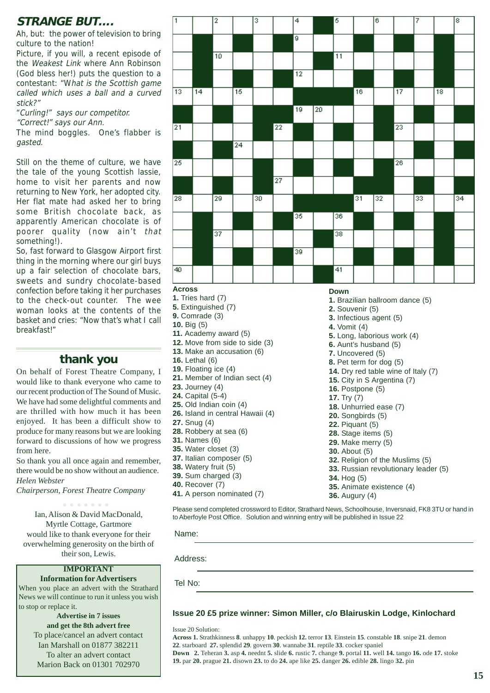### **STRANGE BUT….**

Ah, but: the power of television to bring culture to the nation!

Picture, if you will, a recent episode of the Weakest Link where Ann Robinson (God bless her!) puts the question to a contestant: "What is the Scottish game called which uses a ball and a curved stick?"

- "Curling!" says our competitor.
- "Correct!" says our Ann.

The mind boggles. One's flabber is gasted.

Still on the theme of culture, we have the tale of the young Scottish lassie, home to visit her parents and now returning to New York, her adopted city. Her flat mate had asked her to bring some British chocolate back, as apparently American chocolate is of poorer quality (now ain't that something!).

So, fast forward to Glasgow Airport first thing in the morning where our girl buys up a fair selection of chocolate bars, sweets and sundry chocolate-based confection before taking it her purchases to the check-out counter. The wee woman looks at the contents of the basket and cries: "Now that's what I call breakfast!"

### **thank you**

On behalf of Forest Theatre Company, I would like to thank everyone who came to our recent production of The Sound of Music. We have had some delightful comments and are thrilled with how much it has been enjoyed. It has been a difficult show to produce for many reasons but we are looking forward to discussions of how we progress from here.

So thank you all once again and remember, there would be no show without an audience. *Helen Webster*

*Chairperson, Forest Theatre Company*

Ian, Alison & David MacDonald, Myrtle Cottage, Gartmore would like to thank everyone for their overwhelming generosity on the birth of their son, Lewis. ○○○○○○○

### **IMPORTANT**

### **Information for Advertisers**

When you place an advert with the Strathard News we will continue to run it unless you wish to stop or replace it.

**Advertise in 7 issues and get the 8th advert free** To place/cancel an advert contact Ian Marshall on 01877 382211 To alter an advert contact Marion Back on 01301 702970

| ī               |                 | 2               |                 | 3  |                 | $\overline{4}$  |                 | 5               |    | 6               |                 | 7  |    | 8  |
|-----------------|-----------------|-----------------|-----------------|----|-----------------|-----------------|-----------------|-----------------|----|-----------------|-----------------|----|----|----|
|                 |                 |                 |                 |    |                 | ø               |                 |                 |    |                 |                 |    |    |    |
|                 |                 | $\overline{10}$ |                 |    |                 |                 |                 | $\overline{11}$ |    |                 |                 |    |    |    |
|                 |                 |                 |                 |    |                 | $\overline{12}$ |                 |                 |    |                 |                 |    |    |    |
| $\overline{13}$ | $\overline{14}$ |                 | $\overline{15}$ |    |                 |                 |                 |                 | 16 |                 | $\overline{17}$ |    | 18 |    |
|                 |                 |                 |                 |    |                 | $\overline{19}$ | $\overline{20}$ |                 |    |                 |                 |    |    |    |
| 21              |                 |                 |                 |    | 22              |                 |                 |                 |    |                 | $\overline{23}$ |    |    |    |
|                 |                 |                 | $\overline{24}$ |    |                 |                 |                 |                 |    |                 |                 |    |    |    |
| 25              |                 |                 |                 |    |                 |                 |                 |                 |    |                 | $\overline{26}$ |    |    |    |
|                 |                 |                 |                 |    | $\overline{27}$ |                 |                 |                 |    |                 |                 |    |    |    |
| 28              |                 | 29              |                 | 30 |                 |                 |                 |                 | 31 | $\overline{32}$ |                 | 33 |    | 34 |
|                 |                 |                 |                 |    |                 | 35              |                 | 36              |    |                 |                 |    |    |    |
|                 |                 | 37              |                 |    |                 |                 |                 | $\overline{38}$ |    |                 |                 |    |    |    |
|                 |                 |                 |                 |    |                 | $\overline{39}$ |                 |                 |    |                 |                 |    |    |    |
| 40              |                 |                 |                 |    |                 |                 |                 | $\overline{41}$ |    |                 |                 |    |    |    |
| A               |                 |                 |                 |    |                 |                 |                 |                 |    |                 |                 |    |    |    |

- **Across**
- **1.** Tries hard (7)
- **5.** Extinguished (7) **9.** Comrade (3)
- **10.** Big (5)
- 
- **11.** Academy award (5) **12.** Move from side to side (3)
- **13.** Make an accusation (6)
- **16.** Lethal (6)
- **19.** Floating ice (4)
- **21.** Member of Indian sect (4)
- **23.** Journey (4)
- **24.** Capital (5-4)
- **25.** Old Indian coin (4)
- **26.** Island in central Hawaii (4)
- **27.** Snug (4)
- **28.** Robbery at sea (6)
- **31.** Names (6)
- **35.** Water closet (3)
- **37.** Italian composer (5)
- **38.** Watery fruit (5) **39.** Sum charged (3)
- **40.** Recover (7)
- 
- **41.** A person nominated (7)

Please send completed crossword to Editor, Strathard News, Schoolhouse, Inversnaid, FK8 3TU or hand in to Aberfoyle Post Office. Solution and winning entry will be published in Issue 22

Name:

Address:

Tel No:

### **Issue 20 £5 prize winner: Simon Miller, c/o Blairuskin Lodge, Kinlochard**

Issue 20 Solution:

**Across 1.** Strathkinness **8**. unhappy **10**. peckish **12.** terror **13**. Einstein **15**. constable **18**. snipe **21**. demon **22**. starboard **27.** splendid **29**. govern **30**. wannabe **31**. reptile **33**. cocker spaniel **Down 2.** Teheran **3.** asp **4.** neednt **5.** slide **6.** rustic **7.** change **9.** portal **11.** well **14.** tango **16.** ode **17.** stoke **19.** par **20.** prague **21.** disown **23.** to do **24.** ape like **25.** danger **26.** edible **28.** lingo **32.** pin

### **Down**

- **1.** Brazilian ballroom dance (5)
- **2.** Souvenir (5)
- **3.** Infectious agent (5)
- **4.** Vomit (4)
- **5.** Long, laborious work (4)
- **6.** Aunt's husband (5)
- **7.** Uncovered (5)
- **8.** Pet term for dog (5)
- **14.** Dry red table wine of Italy (7)
- **15.** City in S Argentina (7)
- **16.** Postpone (5)
- **17.** Try (7) **18.** Unhurried ease (7)
- **20.** Songbirds (5)
- **22.** Piquant (5)
- **28.** Stage items (5)
- **29.** Make merry (5)
- **30.** About (5)
- **32.** Religion of the Muslims (5)
- **33.** Russian revolutionary leader (5)
- **34.** Hog (5)
- **35.** Animate existence (4)
- **36.** Augury (4)